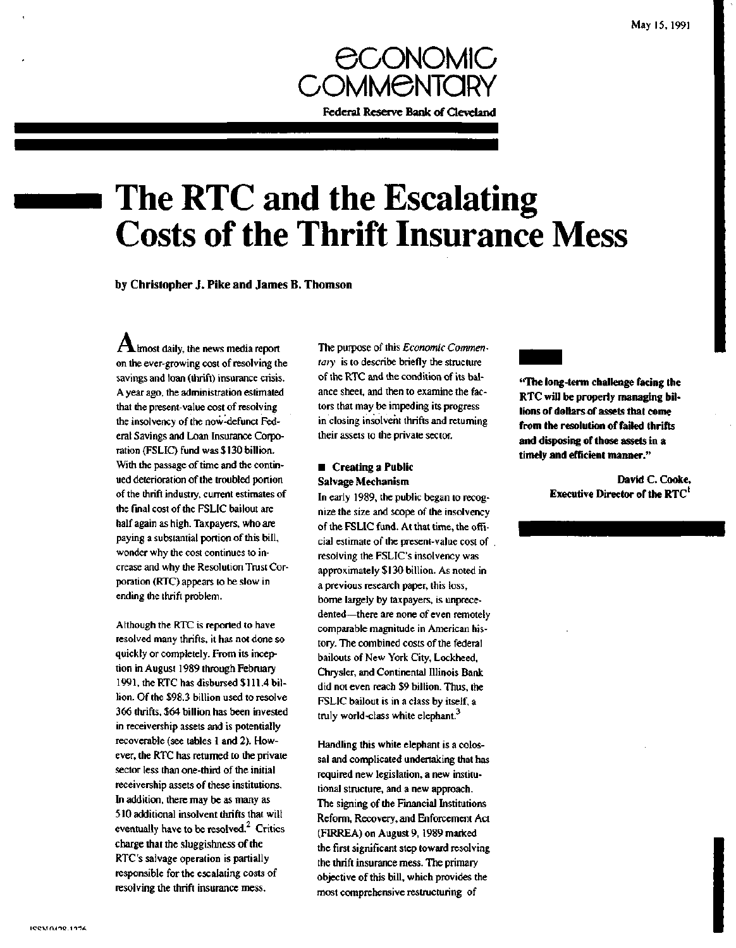

# **The RTC and the Escalating Costs of the Thrift Insurance Mess**

**by Christopher J. Pike and James B. Thomson**

 ${\bf A}$ lmost daily, the news media report on the ever-growing cost of resolving the savings and loan (thrift) insurance crisis. A year ago, the administration estimated that the present-value cost of resolving the insolvency of the now-defunct Federal Savings and Loan Insurance Corporation (FSLIC) fund was \$130 billion. With the passage of time and the continued deterioration of the troubled portion of the thrift industry, current estimates of the final cost of the FSLIC bailout are half again as high. Taxpayers, who are paying a substantial portion of this bill, wonder why the cost continues to increase and why the Resolution Trust Corporation (RTC) appears to be slow in ending the thrift problem.

Although the RTC is reported to have resolved many thrifts, it has not done so quickly or completely. From its inception in August 1989 through February 1991, the RTC has disbursed \$ 111.4 billion. Of the \$98.3 billion used to resolve 366 thrifts, \$64 billion has been invested in receivership assets and is potentially recoverable (see tables 1 and 2). However, the RTC has returned to the private sector less than one-third of the initial receivership assets of these institutions. In addition, there may be as many as 510 additional insolvent thrifts that will eventually have to be resolved. $2$  Critics charge that the sluggishness of the RTC's salvage operation is partially responsible for the escalating costs of resolving the thrift insurance mess.

The purpose of this *Economic Commentary* is to describe briefly the structure of the RTC and the condition of its balance sheet, and then to examine the factors that may be impeding its progress in closing insolvent thrifts and returning their assets to the private sector.

### **• Creating a Public Salvage Mechanism**

In early 1989, the public began to recognize the size and scope of the insolvency of the FSLIC fund. At that time, the official estimate of the present-value cost of resolving the FSLIC's insolvency was approximately \$130 billion. As noted in a previous research paper, this loss, borne largely by taxpayers, is unprecedented—there are none of even remotely comparable magnitude in American history. The combined costs of the federal bailouts of New York City, Lockheed, Chrysler, and Continental Illinois Bank did not even reach \$9 billion. Thus, the FSLIC bailout is in a class by itself, a truly world-class white elephant.<sup>3</sup>

Handling this white elephant is a colossal and complicated undertaking that has required new legislation, a new institutional structure, and a new approach. The signing of the Financial Institutions Reform, Recovery, and Enforcement Act (FIRREA) on August 9,1989 marked the first significant step toward resolving the thrift insurance mess. The primary objective of this bill, which provides the most comprehensive restructuring of

**"The long-term challenge facing the RTC will be properly managing billions of dollars of assets that come from the resolution of failed thrifts and disposing of those assets in a timely and efficient manner."**

> **David C. Cooke, Executive Director of the RTC'**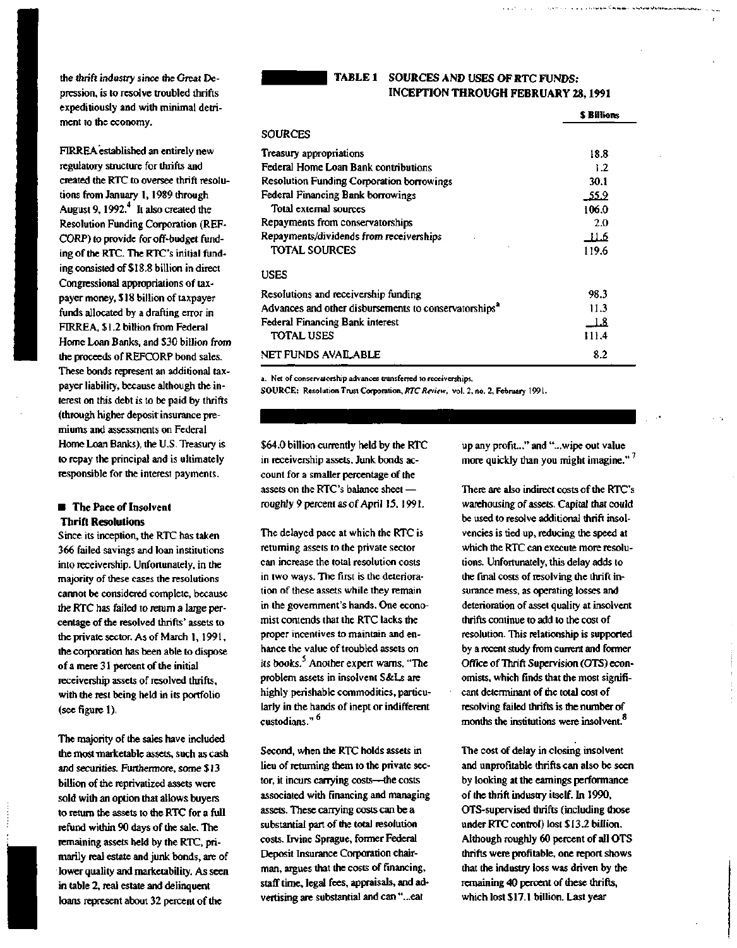the thrift industry since the Great Depression, is to resolve troubled thrifts expeditiously and with minimal detriment to the economy.

FIRREA established an entirely new regulatory structure for thrifts and created the RTC to oversee thrift resolutions from January 1,1989 through August 9, 1992.<sup>4</sup> It also created the Resolution Funding Corporation (REF-CORP) to provide for off-budget funding of the RTC. The RTC's initial funding consisted of \$18.8 billion in direct Congressional appropriations of taxpayer money, \$18 billion of taxpayer funds allocated by a drafting error in FIRREA, \$1.2 billion from Federal Home Loan Banks, and \$30 billion from the proceeds of REFCORP bond sales. These bonds represent an additional taxpayer liability, because although the interest on this debt is to be paid by thrifts (through higher deposit insurance premiums and assessments on Federal Home Loan Banks), the U.S. Treasury is to repay the principal and is ultimately responsible for the interest payments.

#### $\blacksquare$  The Pace of Insolvent **Thrift Resolutions**

Since its inception, the RTC has taken 366 failed savings and loan institutions into receivership. Unfortunately, in the majority of these cases the resolutions cannot be considered complete, because the RTC has failed to return a large percentage of the resolved thrifts' assets to the private sector. As of March 1, 1991, the corporation has been able to dispose of a mere 31 percent of the initial receivership assets of resolved thrifts, with the rest being held in its portfolio (see figure 1).

The majority of the sales have included the most-marketable assets, such as cash and securities. Furthermore, some \$13 billion of the reprivatized assets were sold with an option that allows buyers to return the assets to the RTC for a full refund within 90 days of the sale. The remaining assets held by the RTC, primarily real estate and junk bonds, are of lower quality and marketability. As seen in table 2, real estate and delinquent loans represent about 32 percent of the

#### **TABLE 1 SOURCES AND USES OF RTC FUNDS: INCEPTION THROUGH FEBRUARY 28,1991**

appears of a signal proposed the exam-

|                                                                   | <b>S Billions</b> |
|-------------------------------------------------------------------|-------------------|
| <b>SOURCES</b>                                                    |                   |
| Treasury appropriations                                           | 18.8              |
| Federal Home Loan Bank contributions                              | 1.2               |
| <b>Resolution Funding Corporation borrowings</b>                  | 30.1              |
| Federal Financing Bank borrowings                                 | _55.9             |
| Total external sources                                            | 106.0             |
| Repayments from conservatorships                                  | 2.0               |
| Repayments/dividends from receiverships                           | -11.6             |
| <b>TOTAL SOURCES</b>                                              | 119.6             |
| <b>USES</b>                                                       |                   |
| Resolutions and receivership funding                              | 98.3              |
| Advances and other disbursements to conservatorships <sup>a</sup> | 11.3              |
| Federal Financing Bank interest                                   | $\perp 8$         |
| <b>TOTAL USES</b>                                                 | 111.4             |
| NET FUNDS AVAILABLE                                               | 8.2               |

**a. Net of conservatorship advances transferred to receiverships.**

**SOURCE: Resolution Trust Corporation,** *RTC Re\iew,* **vol. 2, no. 2, February 1991.**

\$64.0 billion currently held by the RTC in receivership assets. Junk bonds account for a smaller percentage of the assets on the RTC's balance sheet roughly 9 percent as of April 15,1991.

The delayed pace at which the RTC is returning assets to the private sector can increase the total resolution costs in two ways. The first is the deterioration of these assets while they remain in the government's hands. One economist contends that the RTC lacks the proper incentives to maintain and enhance the value of troubled assets on its books.<sup>5</sup> Another expert warns, "The problem assets in insolvent S&Ls are highly perishable commodities, particularly in the hands of inept or indifferent custodians."<sup>6</sup>

Second, when the RTC holds assets in lieu of returning them to the private sector, it incurs carrying costs—the costs associated with financing and managing assets. These carrying costs can be a substantial part of the total resolution costs. Irvine Sprague, former Federal Deposit Insurance Corporation chairman, argues that the costs of financing, staff time, legal fees, appraisals, and advertising are substantial and can "...eat

up any profit..." and "...wipe out value more quickly than you might imagine.<sup>17</sup>

There are also indirect costs of the RTC's warehousing of assets. Capital that could be used to resolve additional thrift insolvencies is tied up, reducing the speed at which the RTC can execute more resolutions. Unfortunately, this delay adds to the final costs of resolving the thrift insurance mess, as operating losses and deterioration of asset quality at insolvent thrifts continue to add to the cost of resolution. This relationship is supported by a recent study from current and former Office of Thrift Supervision (OTS) economists, which finds that the most significant determinant of the total cost of resolving failed thrifts is the number of months the institutions were insolvent.  $^{\mathrm{8}}$ 

The cost of delay in closing insolvent and unprofitable thrifts can also be seen by looking at the earnings performance of the thrift industry itself. In 1990, OTS-supervised thrifts (including those under RTC control) lost \$13.2 billion. Although roughly 60 percent of all OTS thrifts were profitable, one report shows that the industry loss was driven by the remaining 40 percent of these thrifts, which lost \$17.1 billion. Last year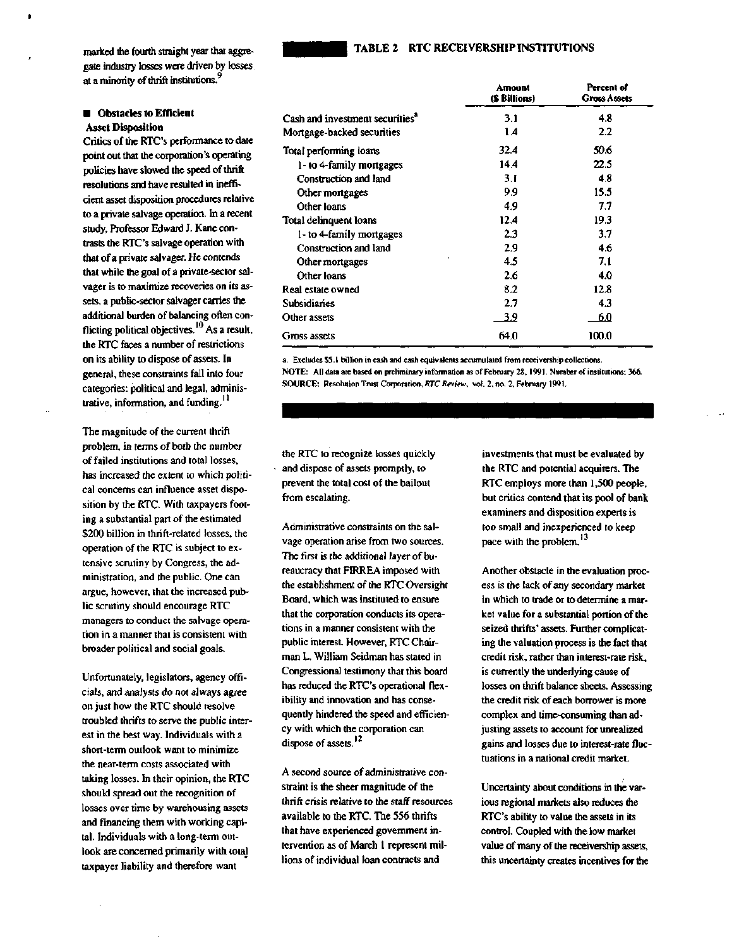#### **TABLE 2 RTC RECEIVERSHIP INSTITUTIONS**

marked the fourth straight year that aggregate industry losses were driven by losses at a minority of thrift institutions.<sup>9</sup>

#### $\blacksquare$  Obstacles to Efficient **Asset Disposition**

Critics of the RTC's performance to date point out that the corporation's operating policies have slowed the speed of thrift resolutions and have resulted in inefficient asset disposition procedures relative to a private salvage operation. In a recent study, Professor Edward J. Kane contrasts the RTC's salvage operation with that of a private salvager. He contends that while the goal of a private-sector salvager is to maximize recoveries on its assets, a public-sector salvager carries the additional burden of balancing often conflicting political objectives.<sup>10</sup> As a result, the RTC faces a number of restrictions on its ability to dispose of assets. In general, these constraints fall into four categories: political and legal, administrative, information, and funding.<sup>11</sup>

The magnitude of the current thrift problem, in terms of both the number of failed institutions and total losses, has increased the extent to which political concerns can influence asset disposition by the RTC. With taxpayers footing a substantial part of the estimated \$200 billion in thrift-related losses, the operation of the RTC is subject to extensive scrutiny by Congress, the administration, and the public. One can argue, however, that the increased public scrutiny should encourage RTC managers to conduct the salvage operation in a manner that is consistent with broader political and social goals.

Unfortunately, legislators, agency officials, and analysts do not always agree on just how the RTC should resolve troubled thrifts to serve the public interest in the best way. Individuals with a short-term outlook want to minimize the near-term costs associated with taking losses. In their opinion, the RTC should spread out the recognition of losses over time by warehousing assets and financing them with working capital. Individuals with a long-term outlook are concerned primarily with total taxpayer liability and therefore want

|                                             | Amount<br>(\$ Billions) | Percent of<br><b>Gross Assets</b> |
|---------------------------------------------|-------------------------|-----------------------------------|
| Cash and investment securities <sup>a</sup> | 3.1                     | 4.8                               |
| Mortgage-backed securities                  | 1.4                     | $2.2\,$                           |
| Total performing loans                      | 32.4                    | 50.6                              |
| 1- to 4-family mortgages                    | 14.4                    | 22.5                              |
| Construction and land                       | 3.I                     | 4.8                               |
| Other mortgages                             | 9.9                     | 15.5                              |
| Other loans                                 | 4.9                     | 7.7                               |
| Total delinquent loans                      | 12.4                    | 19.3                              |
| 1- to 4-family mortgages                    | 2.3                     | 3.7                               |
| Construction and land                       | 2.9                     | 4.6                               |
| Other mortgages                             | 4.5                     | 7.1                               |
| Other loans                                 | 2.6                     | 4.0                               |
| Real estate owned                           | 8.2                     | 12.8                              |
| Subsidiaries                                | 2.7                     | 4.3                               |
| Other assets                                | <u>39</u>               | 6.0                               |
| Gross assets                                | 64.0                    | 100.0                             |

**a. Excludes \$5.1 billion in cash and cash equivalents accumulated from receivership collections. NOTE: All data are based on preliminary information as of February 28, 1991. Number of institutions: 366. SOURCE: Resolution Trust Corporation,** *RTC Review,* **vol. 2, no. 2, February 1991.**

the RTC to recognize losses quickly and dispose of assets promptly, to prevent the total cost of the bailout from escalating.

Administrative constraints on the salvage operation arise from two sources. The first is the additional layer of bureaucracy that FIRREA imposed with the establishment of the RTC Oversight Board, which was instituted to ensure that the corporation conducts its operations in a manner consistent with the public interest. However, RTC Chairman L. William Seidman has stated in Congressional testimony that this board has reduced the RTC's operational flexibility and innovation and has consequently hindered the speed and efficiency with which the corporation can dispose of assets.<sup>12</sup>

A second source of administrative constraint is the sheer magnitude of the thrift crisis relative to the staff resources available to the RTC. The 556 thrifts that have experienced government intervention as of March 1 represent millions of individual loan contracts and

investments that must be evaluated by the RTC and potential acquirers. The RTC employs more than 1,500 people, but critics contend that its pool of bank examiners and disposition experts is too small and inexperienced to keep pace with the problem.<sup>13</sup>

Another obstacle in the evaluation process is the lack of any secondary market in which to trade or to determine a market value for a substantial portion of the seized thrifts' assets. Further complicating the valuation process is the fact that credit risk, rather than interest-rate risk, is currently the underlying cause of losses on thrift balance sheets. Assessing the credit risk of each borrower is more complex and time-consuming than adjusting assets to account for unrealized gains and losses due to interest-rate fluctuations in a national credit market.

Uncertainty about conditions in the various regional markets also reduces the RTC's ability to value the assets in its control. Coupled with the low market value of many of the receivership assets, this uncertainty creates incentives for the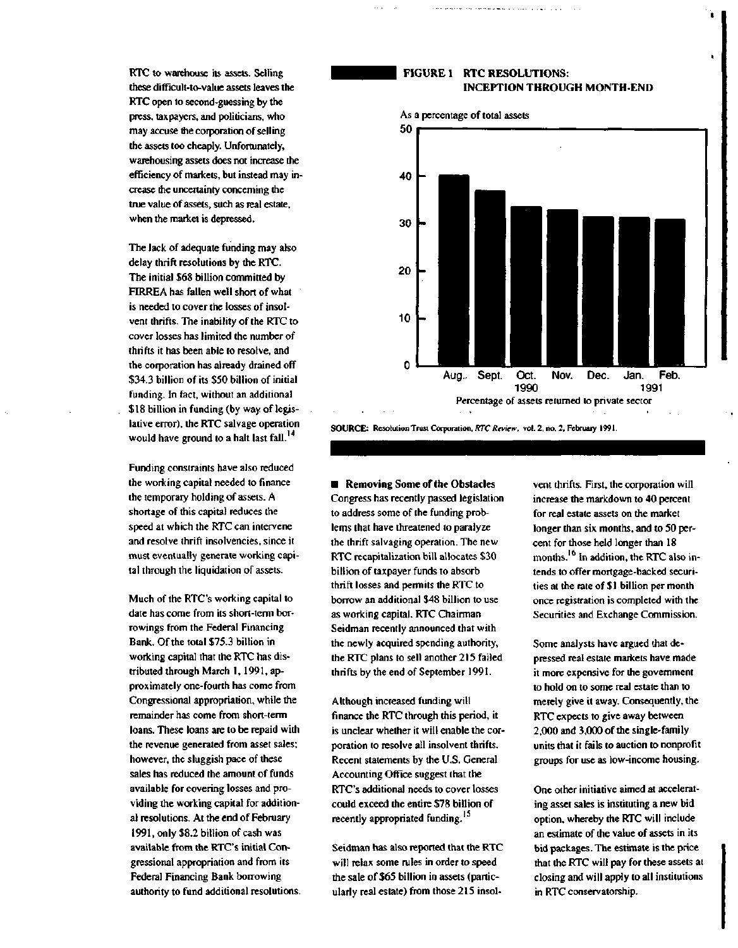RTC to warehouse its assets. Selling these difficult-to-value assets leaves the RTC open to second-guessing by the press, taxpayers, and politicians, who may accuse the corporation of selling the assets too cheaply. Unfortunately, warehousing assets does not increase the efficiency of markets, but instead may increase the uncertainty concerning the true value of assets, such as real estate, when the market is depressed.

The lack of adequate funding may also delay thrift resolutions by the RTC. The initial \$68 billion committed by FIRREA has fallen well short of what is needed to cover the losses of insolvent thrifts. The inability of the RTC to cover losses has limited the number of thrifts it has been able to resolve, and the corporation has already drained off \$34.3 billion of its \$50 billion of initial funding. In fact, without an additional \$ 18 billion in funding (by way of legislative error), the RTC salvage operation would have ground to a halt last fall. **14**

Funding constraints have also reduced the working capital needed to finance the temporary holding of assets. A shortage of this capital reduces the speed at which the RTC can intervene and resolve thrift insolvencies, since it must eventually generate working capital through the liquidation of assets.

Much of the RTC's working capital to date has come from its short-term borrowings from the Federal Financing Bank. Of the total \$75.3 billion in working capital that the RTC has distributed through March 1, 1991, approximately one-fourth has come from Congressional appropriation, while the remainder has come from short-term loans. These loans are to be repaid with the revenue generated from asset sales; however, the sluggish pace of these sales has reduced the amount of funds available for covering losses and providing the working capital for additional resolutions. At the end of February 1991, only \$8.2 billion of cash was available from the RTC's initial Congressional appropriation and from its Federal Financing Bank borrowing authority to fund additional resolutions.

#### **FIGURE 1 RTC RESOLUTIONS: INCEPTION THROUGH MONTH-END**



**SOURCE: Resolution Trust Corporation,** *RTC Review,* **vol. 2, no. 2, February 1991.**

**E** Removing Some of the Obstacles Congress has recently passed legislation to address some of the funding problems that have threatened to paralyze the thrift salvaging operation. The new RTC recapitalization bill allocates \$30 billion of taxpayer funds to absorb thrift losses and permits the RTC to borrow an additional \$48 billion to use as working capital. RTC Chairman Seidman recently announced that with the newly acquired spending authority, the RTC plans to sell another 215 failed thrifts by the end of September 1991.

Although increased funding will finance the RTC through this period, it is unclear whether it will enable the corporation to resolve all insolvent thrifts. Recent statements by the U.S. General Accounting Office suggest that the RTC's additional needs to cover losses could exceed the entire \$78 billion of recently appropriated funding. **15**

Seidman has also reported that the RTC will relax some rules in order to speed the sale of \$65 billion in assets (particularly real estate) from those 215 insolvent thrifts. First, the corporation will increase the markdown to 40 percent for real estate assets on the market longer than six months, and to 50 percent for those held longer than 18 months. <sup>16</sup> In addition, the RTC also intends to offer mortgage-backed securities at the rate of \$1 billion per month once registration is completed with the Securities and Exchange Commission.

Some analysts have argued that depressed real estate markets have made it more expensive for the government to hold on to some real estate than to merely give it away. Consequently, the RTC expects to give away between 2,000 and 3,000 of the single-family units that it fails to auction to nonprofit groups for use as low-income housing.

One other initiative aimed at accelerating asset sales is instituting a new bid option, whereby the RTC will include an estimate of the value of assets in its bid packages. The estimate is the price that the RTC will pay for these assets at closing and will apply to all institutions in RTC conservatorship.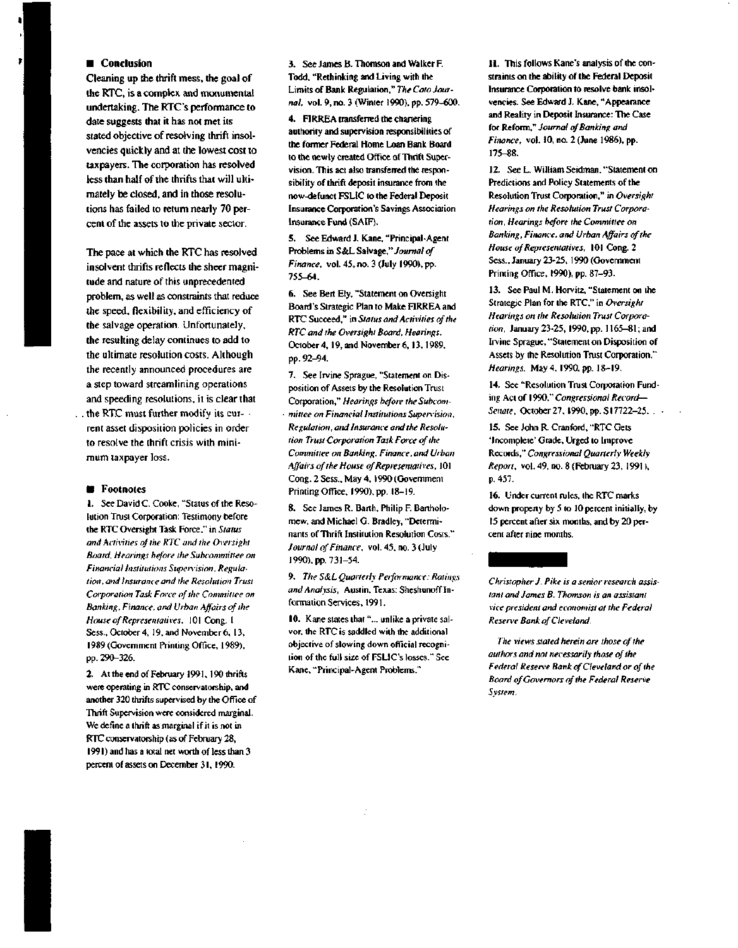#### **E** Conclusion

Cleaning up the thrift mess, the goal of the RTC, is a complex and monumental undertaking. The RTC's performance to date suggests that it has not met its stated objective of resolving thrift insolvencies quickly and at the lowest cost to taxpayers. The corporation has resolved less than half of the thrifts that will ultimately be closed, and in those resolutions has failed to return nearly 70 percent of the assets to the private sector.

The pace at which the RTC has resolved insolvent thrifts reflects the sheer magnitude and nature of this unprecedented problem, as well as constraints that reduce the speed, flexibility, and efficiency of the salvage operation. Unfortunately, the resulting delay continues to add to the ultimate resolution costs. Although the recently announced procedures are a step toward streamlining operations and speeding resolutions, it is clear that . the RTC must further modify its current asset disposition policies in order to resolve the thrift crisis with minimum taxpayer loss.

#### *<u>Electricitive</u>*

1. See David C. Cooke, "Status of the Resolution Trust Corporation: Testimony before the RTC Oversight Task Force," in *Status and Activities of the RTC and the Oversight Board, Hearings before the Subcommittee on Financial Institutions Supenision. Regulation, and Insurance and the Resolution Trust Corporation Task Force of the Committee on Banking, Finance, and Urban Affairs of the House of Representatives,* 101 Cong. 1 Sess., October 4, 19, and November 6, 13, 1989 (Government Printing Office, 1989), pp. 290-326.

2. At the end of February 1991, 190 thrifts were operating in RTC conservatorship, and another 320 thrifts supervised by the Office of Thrift Supervision were considered marginal. We define a thrift as marginal if it is not in RTC conservatorship (as of February 28, 1991) and has a total net worth of less than 3 percent of assets on December 31,1990.

3. See James B. Thomson and Walker F. Todd, "Rethinking and Living with the Limits of Bank Regulation," *The Cam Journal,* vol. 9, no. 3 (Winter 1990), pp. 579-600.

4. FIRREA transferred the chartering authority and supervision responsibilities of the former Federal Home Loan Bank Board to the newly created Office of Thrift Supervision. This act also transferred the responsibility of thrift deposit insurance from the now-defunct FSLIC to the Federal Deposit Insurance Corporation's Savings Association Insurance Fund (SAIF).

5. See Edward J. Kane, "Principal-Agent Problems in S&L Salvage," *Journal of Finance,* vol. 45, no. 3 (July 1990), pp. 755-64.

6. See Bert Ely, "Statement on Oversight Board's Strategic Plan to Make FIRREA and RTC Succeed," in *Status and Activities of the RTC and the Oversight Board, Hearings.* October4, 19, and November 6, 13, 1989, pp. 92-94.

7. See Irvine Sprague, "Statement on Disposition of Assets by the Resolution Trust Corporation," *Hearings before the Subcom- • mittee on Financial Institutions Supervision, Regulation, and Insurance and the Resolution Trust Corporation Task Force of the Committee on Banking, Finance, and Urban Affairs of the House of Representatives,* 101 Cong. 2 Sess., May 4, 1990 (Government Printing Office, 1990), pp. 18-19.

8. See James R. Barth, Philip F. Bartholomew, and Michael G. Bradley, "Determinants of Thrift Institution Resolution Costs." *Journal of Finance,* vol. 45, no. 3 (July 1990), pp. 731-54.

9. *The S&L Quarterly Performance: Ratings and Analysis,* Austin, Texas: Sheshunoff Information Services, 1991.

10. Kane states that"... unlike a private salvor, the RTC is saddled with the additional objective of slowing down official recognition of the full size of FSLIC's losses." See Kane, "Principal-Agent Problems."

11. This follows Kane's analysis of the constraints on the ability of the Federal Deposit Insurance Corporation to resolve bank insolvencies. See Edward J. Kane, "Appearance and Reality in Deposit Insurance: The Case for Reform," *Journal of Banking and Finance,* vol. 10, no. 2 (June 1986), pp. 175-88.

12. See L. William Seidman, "Statement on Predictions and Policy Statements of the Resolution Trust Corporation," in *Oversight Hearings on the Resolution Trust Corporation, Hearings before the Committee on Banking, Finance, and Urban Affairs of the House of Representatives,* 101 Cong. 2 Sess., January 23-25, 1990 (Government Printing Office, 1990), pp. 87-93.

13. See Paul M. Horvitz, "Statement on the Strategic Plan for the RTC," in *Oversight Hearings on the Resolution Trust Corporation,* January 23-25, 1990, pp. 1165-81; and Irvine Sprague, "Statement on Disposition of Assets by the Resolution Trust Corporation," *Hearings,* May 4, 1990, pp. 18-19.

14. See "Resolution Trust Corporation Funding Act of 1990," *Congressional Record*— *Senate,* October 27, 1990, pp. S17722-25. •

15. See John R. Cranford, "RTC Gets 'Incomplete' Grade, Urged to Improve Records," *Congressional Quarterly Weekly Report,* vol. 49, no. 8 (February 23, 1991), p. 457.

16. Under current rules, the RTC marks down property by 5 to 10 percent initially, by 15 percent after six months, and by 20 percent after nine months.

*Christopher J. Pike is a senior research assistant and James B. Thomson is an assistant vice president and economist at the Federal Resen'e Bank of Cleveland.*

*The views staled herein are those of the authors and not necessarily those of the Federal Resen'e Bank of Cleveland or of the Board of Governors of the Federal Reserve System.*